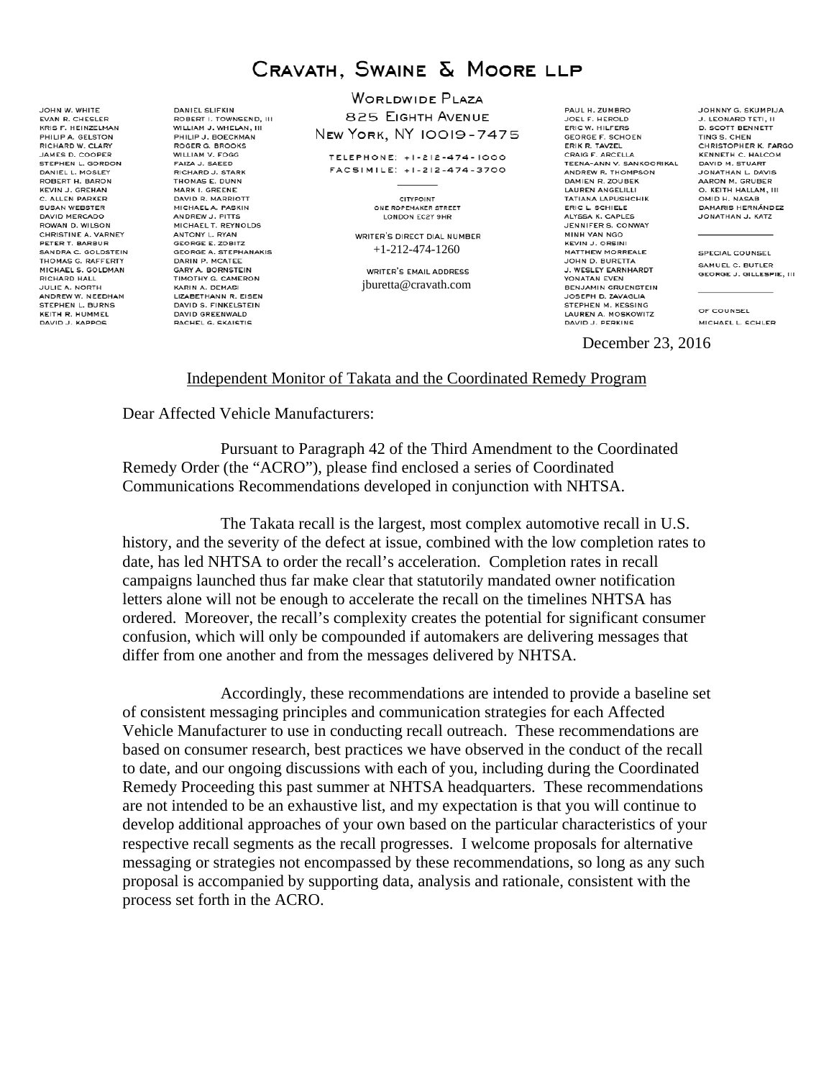# CRAVATH, SWAINE & MOORE LLP

JOHN W. WHITE EVAN R. CHESLER KRIS F. HEINZELMAN PHILIP A. GELSTON<br>RICHARD W. CLARY JAMES D. COOPER STEPHEN L. GORDON **DANIELL MOSLEY** ROBERT H. BARON **KEVIN J. GREHAN** C. ALLEN PARKER **SUSAN WEBSTER** DAVID MERCADO ROWAN D. WILSON CHRISTINE A. VARNEY PETER T. BARBUR SANDRA C. GOLDSTEIN<br>THOMAS G. RAFFERTY MICHAEL S. GOLDMAN<br>RICHARD HALL JULIE A. NORTH ANDREW W. NEEDHAM STEPHEN L. BURNS KEITH R. HUMMEL DAVID J. KAPPOS

**DANIEL SLIFKIN** ROBERT I. TOWNSEND, III<br>WILLIAM J. WHELAN, III PHILIP J. BOECKMAN<br>ROGER G. BROOKS WILLIAM V. FOGG FAIZA J. SAEED **PICHAPD I STARK** THOMAS E. DUNN MARK I. GREENE DAVID R. MARRIOTT MICHAEL A. PASKIN ANDREW J. PITTS MICHAEL T. REYNOLDS ANTONY L. RYAN **GEORGE E. ZOBITZ** GEORGE A. STEPHANAKIS<br>DARIN P. MCATEE GARY A. BORNSTEIN<br>TIMOTHY G. CAMERON KARIN A. DEMASI LIZABETHANN R. EISEN DAVID S. FINKELSTEIN DAVID GREENWALD RACHEL G. SKAISTIS

**WORLDWIDE PLAZA** 825 EIGHTH AVENUE NEW YORK, NY 10019-7475

TELEPHONE: +1-212-474-1000 FACSIMILE: +1-212-474-3700

> CITYPOINT ONE ROPEMAKER STREET LONDON EC2Y 9HR

WRITER'S DIRECT DIAL NUMBER +1-212-474-1260

WRITER'S EMAIL ADDRESS jburetta@cravath.com

PAUL H. ZUMBRO JOEL F. HEROLD GEORGE F. SCHOEN<br>ERIK R. TAVZEL CRAIG F. ARCELLA<br>TEENA-ANN V. SANKOORIKAL ANDREW R. THOMPSON DAMIEN R. ZOUBEK **LAUREN ANGELILLI** TATIANA LAPUSHCHIK ERIC L. SCHIELE ALYSSA K. CAPLES JENNIFER S. CONWAY MINH VAN NGO **KEVIN J. ORSINI** MATTHEW MORREALE **JOHN D. BURETTA** J. WESLEY EARNHARDT YONATAN EVEN BENJAMIN GRUENSTEIN JOSEPH D. ZAVAGLIA STEPHEN M. KESSING LAUREN A. MOSKOWITZ DAVID J. PERKINS

JOHNNY G. SKUMPIJA J. LEONARD TETI, II<br>D. SCOTT BENNETT TING S. CHEN CHRISTOPHER K. FARGO **KENNETH C. HALCOM**<br>DAVID M. STUART JONATHAN L. DAVIS AARON M. GRUBER O. KEITH HALLAM. III OMID H. NASAB DAMARIS HERNÁNDEZ JONATHAN J. KATZ

**SPECIAL COUNSEL** SAMUEL C. BUTLER GEORGE J. GILLESPIE, III

OF COUNSEL MICHAEL L. SCHLER

December 23, 2016

#### Independent Monitor of Takata and the Coordinated Remedy Program

Dear Affected Vehicle Manufacturers:

Pursuant to Paragraph 42 of the Third Amendment to the Coordinated Remedy Order (the "ACRO"), please find enclosed a series of Coordinated Communications Recommendations developed in conjunction with NHTSA.

The Takata recall is the largest, most complex automotive recall in U.S. history, and the severity of the defect at issue, combined with the low completion rates to date, has led NHTSA to order the recall's acceleration. Completion rates in recall campaigns launched thus far make clear that statutorily mandated owner notification letters alone will not be enough to accelerate the recall on the timelines NHTSA has ordered. Moreover, the recall's complexity creates the potential for significant consumer confusion, which will only be compounded if automakers are delivering messages that differ from one another and from the messages delivered by NHTSA.

Accordingly, these recommendations are intended to provide a baseline set of consistent messaging principles and communication strategies for each Affected Vehicle Manufacturer to use in conducting recall outreach. These recommendations are based on consumer research, best practices we have observed in the conduct of the recall to date, and our ongoing discussions with each of you, including during the Coordinated Remedy Proceeding this past summer at NHTSA headquarters. These recommendations are not intended to be an exhaustive list, and my expectation is that you will continue to develop additional approaches of your own based on the particular characteristics of your respective recall segments as the recall progresses. I welcome proposals for alternative messaging or strategies not encompassed by these recommendations, so long as any such proposal is accompanied by supporting data, analysis and rationale, consistent with the process set forth in the ACRO.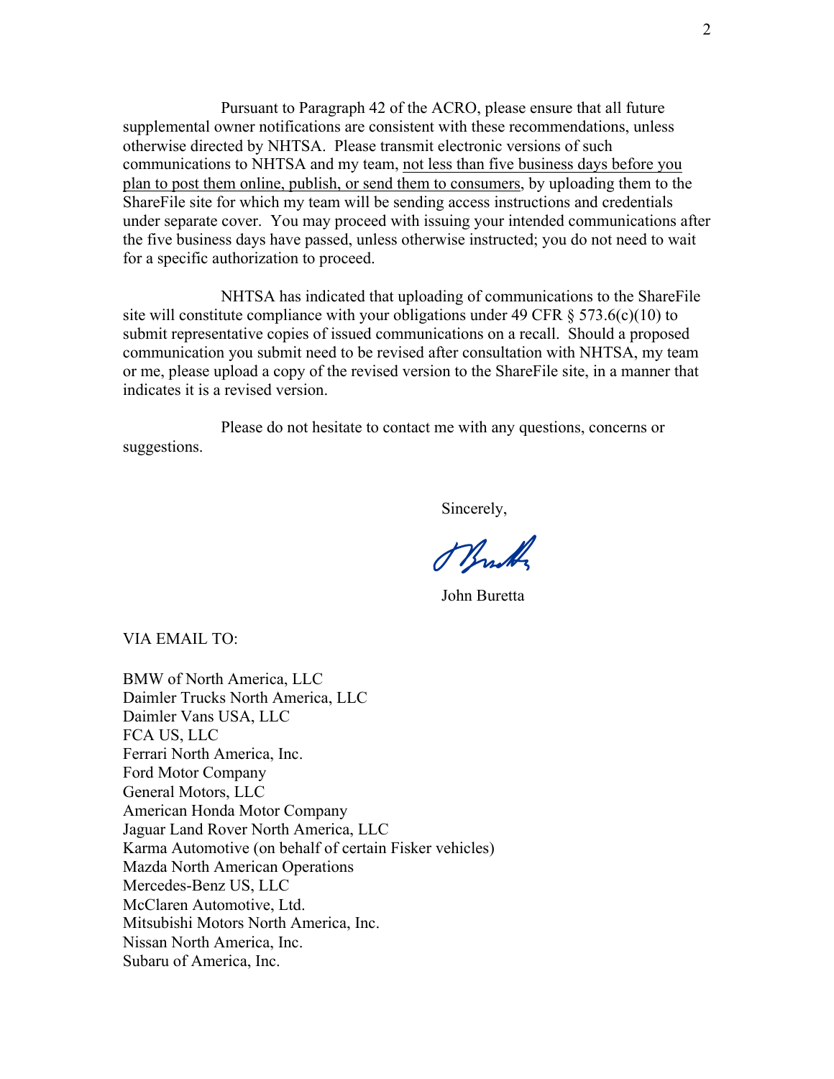Pursuant to Paragraph 42 of the ACRO, please ensure that all future supplemental owner notifications are consistent with these recommendations, unless otherwise directed by NHTSA. Please transmit electronic versions of such communications to NHTSA and my team, not less than five business days before you plan to post them online, publish, or send them to consumers, by uploading them to the ShareFile site for which my team will be sending access instructions and credentials under separate cover. You may proceed with issuing your intended communications after the five business days have passed, unless otherwise instructed; you do not need to wait for a specific authorization to proceed.

NHTSA has indicated that uploading of communications to the ShareFile site will constitute compliance with your obligations under 49 CFR  $\S$  573.6(c)(10) to submit representative copies of issued communications on a recall. Should a proposed communication you submit need to be revised after consultation with NHTSA, my team or me, please upload a copy of the revised version to the ShareFile site, in a manner that indicates it is a revised version.

Please do not hesitate to contact me with any questions, concerns or suggestions.

Sincerely,

Physich

John Buretta

VIA EMAIL TO:

BMW of North America, LLC Daimler Trucks North America, LLC Daimler Vans USA, LLC FCA US, LLC Ferrari North America, Inc. Ford Motor Company General Motors, LLC American Honda Motor Company Jaguar Land Rover North America, LLC Karma Automotive (on behalf of certain Fisker vehicles) Mazda North American Operations Mercedes-Benz US, LLC McClaren Automotive, Ltd. Mitsubishi Motors North America, Inc. Nissan North America, Inc. Subaru of America, Inc.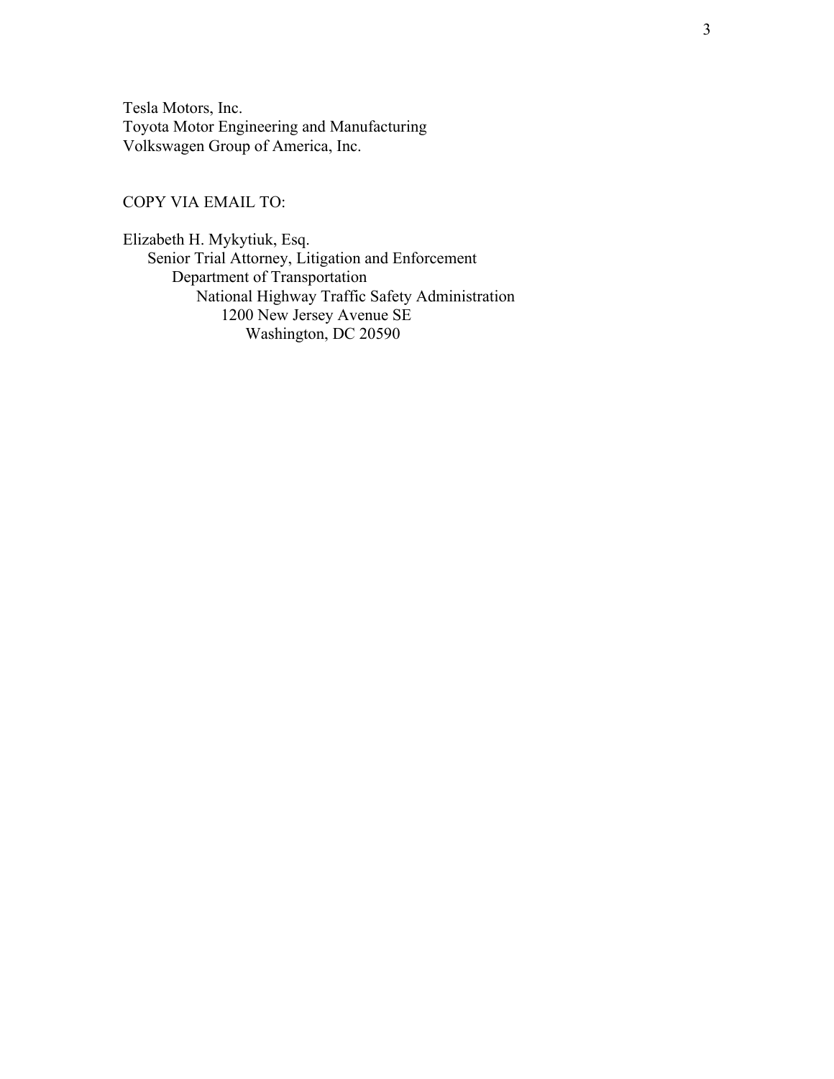Tesla Motors, Inc. Toyota Motor Engineering and Manufacturing Volkswagen Group of America, Inc.

## COPY VIA EMAIL TO:

Elizabeth H. Mykytiuk, Esq. Senior Trial Attorney, Litigation and Enforcement Department of Transportation National Highway Traffic Safety Administration 1200 New Jersey Avenue SE Washington, DC 20590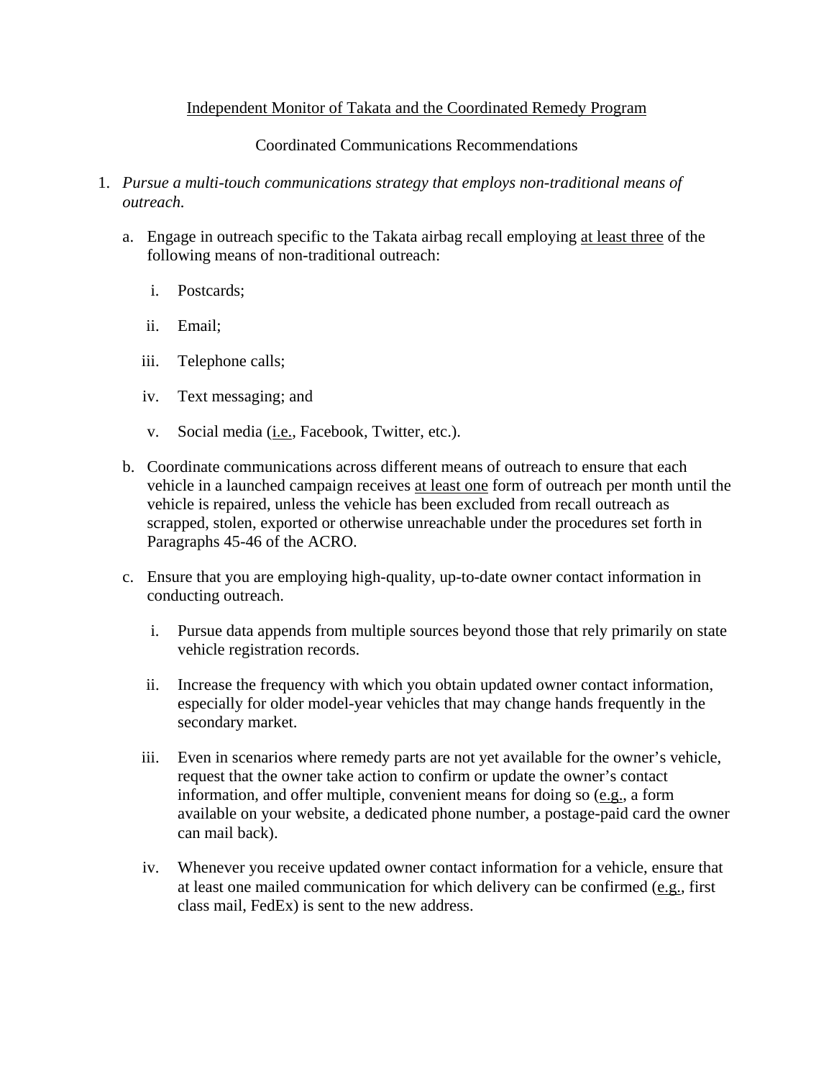# Independent Monitor of Takata and the Coordinated Remedy Program

# Coordinated Communications Recommendations

- 1. *Pursue a multi-touch communications strategy that employs non-traditional means of outreach.* 
	- a. Engage in outreach specific to the Takata airbag recall employing at least three of the following means of non-traditional outreach:
		- i. Postcards;
		- ii. Email;
		- iii. Telephone calls;
		- iv. Text messaging; and
		- v. Social media (*i.e.*, Facebook, Twitter, etc.).
	- b. Coordinate communications across different means of outreach to ensure that each vehicle in a launched campaign receives at least one form of outreach per month until the vehicle is repaired, unless the vehicle has been excluded from recall outreach as scrapped, stolen, exported or otherwise unreachable under the procedures set forth in Paragraphs 45-46 of the ACRO.
	- c. Ensure that you are employing high-quality, up-to-date owner contact information in conducting outreach.
		- i. Pursue data appends from multiple sources beyond those that rely primarily on state vehicle registration records.
		- ii. Increase the frequency with which you obtain updated owner contact information, especially for older model-year vehicles that may change hands frequently in the secondary market.
		- iii. Even in scenarios where remedy parts are not yet available for the owner's vehicle, request that the owner take action to confirm or update the owner's contact information, and offer multiple, convenient means for doing so (e.g., a form available on your website, a dedicated phone number, a postage-paid card the owner can mail back).
		- iv. Whenever you receive updated owner contact information for a vehicle, ensure that at least one mailed communication for which delivery can be confirmed (e.g., first class mail, FedEx) is sent to the new address.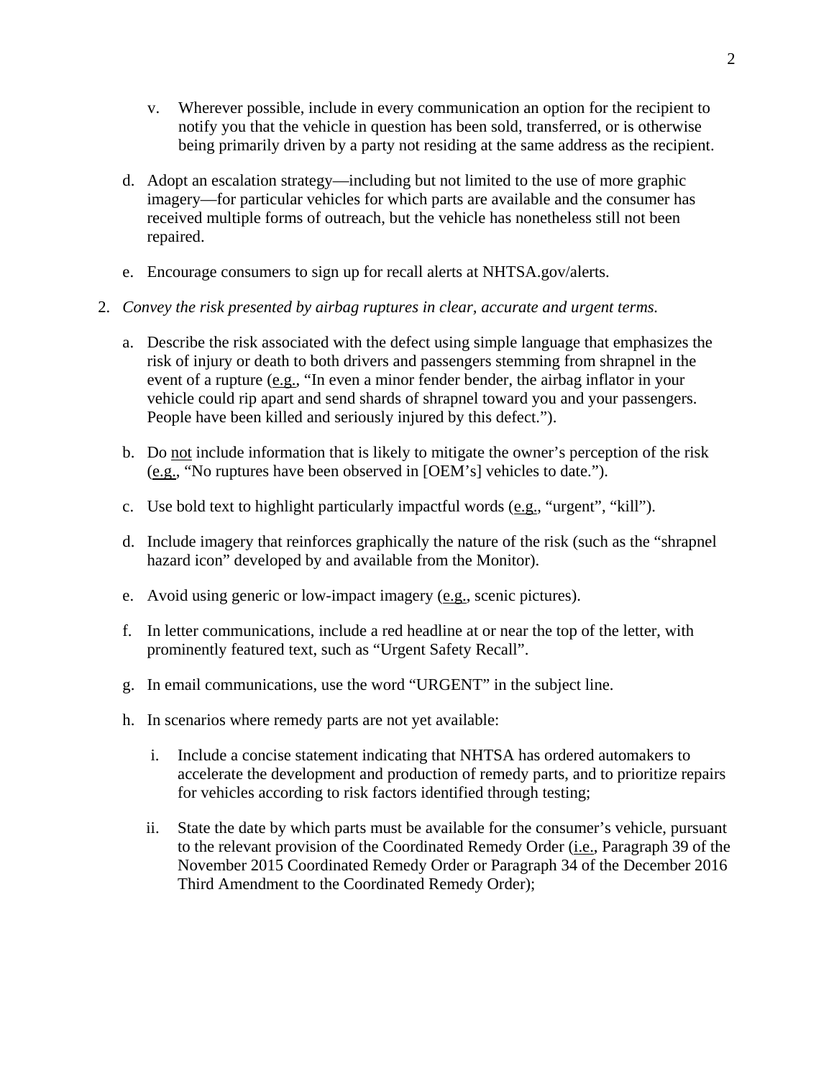- v. Wherever possible, include in every communication an option for the recipient to notify you that the vehicle in question has been sold, transferred, or is otherwise being primarily driven by a party not residing at the same address as the recipient.
- d. Adopt an escalation strategy—including but not limited to the use of more graphic imagery—for particular vehicles for which parts are available and the consumer has received multiple forms of outreach, but the vehicle has nonetheless still not been repaired.
- e. Encourage consumers to sign up for recall alerts at NHTSA.gov/alerts.
- 2. *Convey the risk presented by airbag ruptures in clear, accurate and urgent terms.* 
	- a. Describe the risk associated with the defect using simple language that emphasizes the risk of injury or death to both drivers and passengers stemming from shrapnel in the event of a rupture (e.g., "In even a minor fender bender, the airbag inflator in your vehicle could rip apart and send shards of shrapnel toward you and your passengers. People have been killed and seriously injured by this defect.").
	- b. Do not include information that is likely to mitigate the owner's perception of the risk (e.g., "No ruptures have been observed in [OEM's] vehicles to date.").
	- c. Use bold text to highlight particularly impactful words (e.g., "urgent", "kill").
	- d. Include imagery that reinforces graphically the nature of the risk (such as the "shrapnel hazard icon" developed by and available from the Monitor).
	- e. Avoid using generic or low-impact imagery (e.g., scenic pictures).
	- f. In letter communications, include a red headline at or near the top of the letter, with prominently featured text, such as "Urgent Safety Recall".
	- g. In email communications, use the word "URGENT" in the subject line.
	- h. In scenarios where remedy parts are not yet available:
		- i. Include a concise statement indicating that NHTSA has ordered automakers to accelerate the development and production of remedy parts, and to prioritize repairs for vehicles according to risk factors identified through testing;
		- ii. State the date by which parts must be available for the consumer's vehicle, pursuant to the relevant provision of the Coordinated Remedy Order (i.e., Paragraph 39 of the November 2015 Coordinated Remedy Order or Paragraph 34 of the December 2016 Third Amendment to the Coordinated Remedy Order);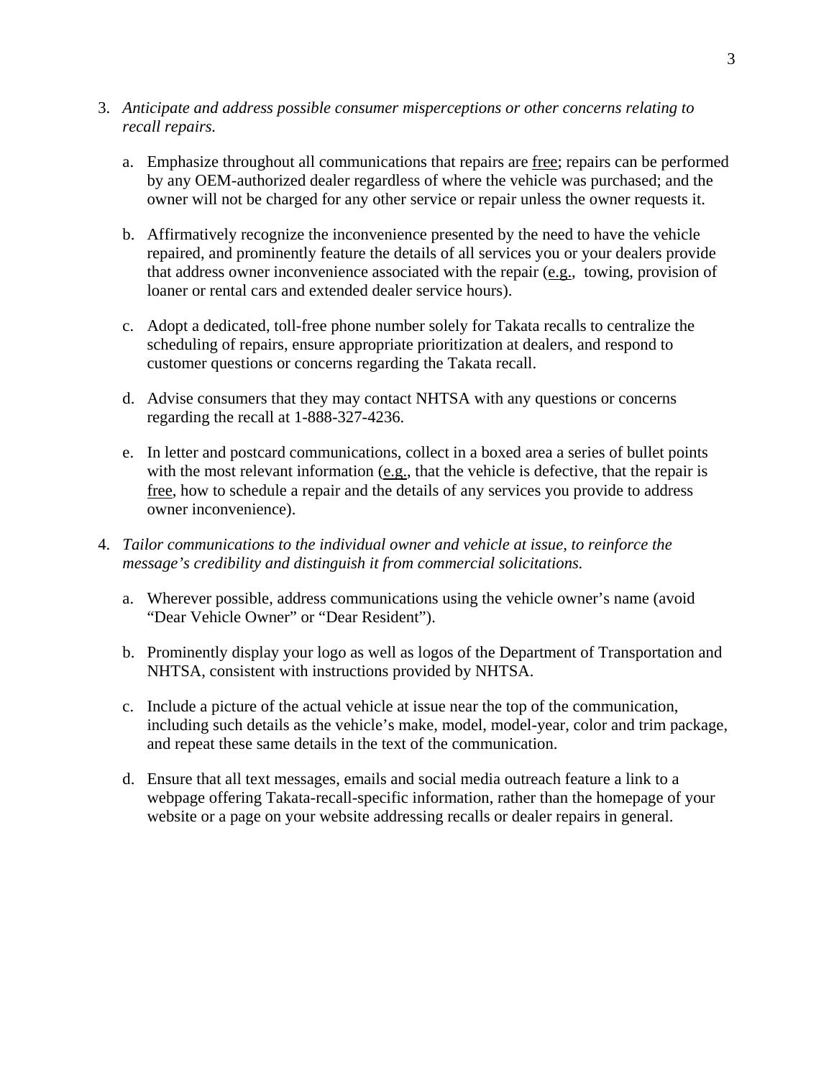- 3. *Anticipate and address possible consumer misperceptions or other concerns relating to recall repairs.* 
	- a. Emphasize throughout all communications that repairs are free; repairs can be performed by any OEM-authorized dealer regardless of where the vehicle was purchased; and the owner will not be charged for any other service or repair unless the owner requests it.
	- b. Affirmatively recognize the inconvenience presented by the need to have the vehicle repaired, and prominently feature the details of all services you or your dealers provide that address owner inconvenience associated with the repair (e.g., towing, provision of loaner or rental cars and extended dealer service hours).
	- c. Adopt a dedicated, toll-free phone number solely for Takata recalls to centralize the scheduling of repairs, ensure appropriate prioritization at dealers, and respond to customer questions or concerns regarding the Takata recall.
	- d. Advise consumers that they may contact NHTSA with any questions or concerns regarding the recall at 1-888-327-4236.
	- e. In letter and postcard communications, collect in a boxed area a series of bullet points with the most relevant information  $(e.g.,$  that the vehicle is defective, that the repair is free, how to schedule a repair and the details of any services you provide to address owner inconvenience).
- 4. *Tailor communications to the individual owner and vehicle at issue, to reinforce the message's credibility and distinguish it from commercial solicitations.* 
	- a. Wherever possible, address communications using the vehicle owner's name (avoid "Dear Vehicle Owner" or "Dear Resident").
	- b. Prominently display your logo as well as logos of the Department of Transportation and NHTSA, consistent with instructions provided by NHTSA.
	- c. Include a picture of the actual vehicle at issue near the top of the communication, including such details as the vehicle's make, model, model-year, color and trim package, and repeat these same details in the text of the communication.
	- d. Ensure that all text messages, emails and social media outreach feature a link to a webpage offering Takata-recall-specific information, rather than the homepage of your website or a page on your website addressing recalls or dealer repairs in general.